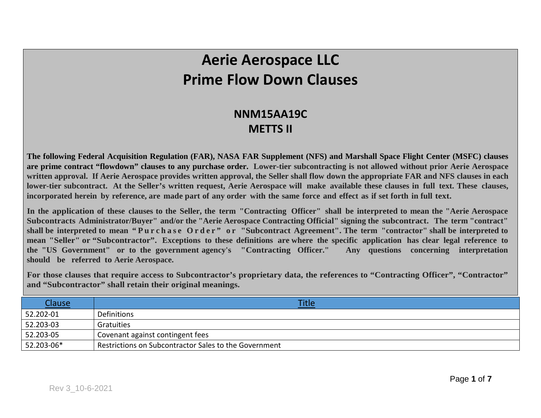## **Aerie Aerospace LLC Prime Flow Down Clauses**

## **NNM15AA19C METTS II**

**The following Federal Acquisition Regulation (FAR), NASA FAR Supplement (NFS) and Marshall Space Flight Center (MSFC) clauses are prime contract "flowdown" clauses to any purchase order. Lower-tier subcontracting is not allowed without prior Aerie Aerospace written approval. If Aerie Aerospace provides written approval, the Seller shall flow down the appropriate FAR and NFS clauses in each lower-tier subcontract. At the Seller's written request, Aerie Aerospace will make available these clauses in full text. These clauses,** incorporated herein by reference, are made part of any order with the same force and effect as if set forth in full text.

In the application of these clauses to the Seller, the term "Contracting Officer" shall be interpreted to mean the "Aerie Aerospace **Subcontracts Administrator/Buyer" and/or the "Aerie Aerospace Contracting Official" signing the subcontract. The term "contract" shall be interpreted to mean "Purchase Order" or "Subcontract Agreement". The term "contractor" shall be interpreted to mean "Seller" or "Subcontractor". Exceptions to these definitions are where the specific application has clear legal reference to the "US Government" or to the government agency's "Contracting Officer." Any questions concerning interpretation should be referred to Aerie Aerospace.**

**For those clauses that require access to Subcontractor's proprietary data, the references to "Contracting Officer", "Contractor" and "Subcontractor" shall retain their original meanings.**

| <u>Clause</u> | <b>Title</b>                                          |
|---------------|-------------------------------------------------------|
| 52.202-01     | Definitions                                           |
| 52.203-03     | Gratuities                                            |
| 52.203-05     | Covenant against contingent fees                      |
| 52.203-06*    | Restrictions on Subcontractor Sales to the Government |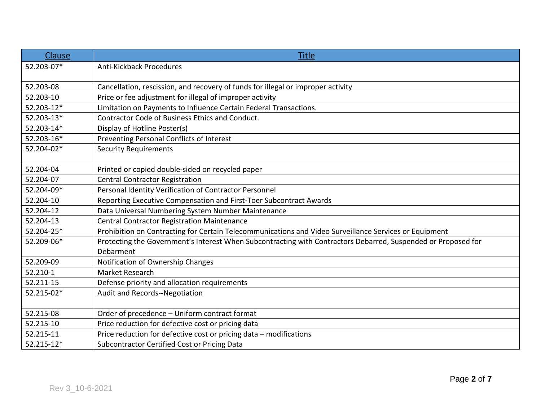| Clause     | <b>Title</b>                                                                                                  |
|------------|---------------------------------------------------------------------------------------------------------------|
| 52.203-07* | <b>Anti-Kickback Procedures</b>                                                                               |
| 52.203-08  | Cancellation, rescission, and recovery of funds for illegal or improper activity                              |
| 52.203-10  | Price or fee adjustment for illegal of improper activity                                                      |
| 52.203-12* | Limitation on Payments to Influence Certain Federal Transactions.                                             |
| 52.203-13* | Contractor Code of Business Ethics and Conduct.                                                               |
| 52.203-14* | Display of Hotline Poster(s)                                                                                  |
| 52.203-16* | Preventing Personal Conflicts of Interest                                                                     |
| 52.204-02* | <b>Security Requirements</b>                                                                                  |
| 52.204-04  | Printed or copied double-sided on recycled paper                                                              |
| 52.204-07  | <b>Central Contractor Registration</b>                                                                        |
| 52.204-09* | Personal Identity Verification of Contractor Personnel                                                        |
| 52.204-10  | Reporting Executive Compensation and First-Toer Subcontract Awards                                            |
| 52.204-12  | Data Universal Numbering System Number Maintenance                                                            |
| 52.204-13  | <b>Central Contractor Registration Maintenance</b>                                                            |
| 52.204-25* | Prohibition on Contracting for Certain Telecommunications and Video Surveillance Services or Equipment        |
| 52.209-06* | Protecting the Government's Interest When Subcontracting with Contractors Debarred, Suspended or Proposed for |
|            | Debarment                                                                                                     |
| 52.209-09  | Notification of Ownership Changes                                                                             |
| 52.210-1   | Market Research                                                                                               |
| 52.211-15  | Defense priority and allocation requirements                                                                  |
| 52.215-02* | Audit and Records--Negotiation                                                                                |
| 52.215-08  | Order of precedence - Uniform contract format                                                                 |
| 52.215-10  | Price reduction for defective cost or pricing data                                                            |
| 52.215-11  | Price reduction for defective cost or pricing data - modifications                                            |
| 52.215-12* | Subcontractor Certified Cost or Pricing Data                                                                  |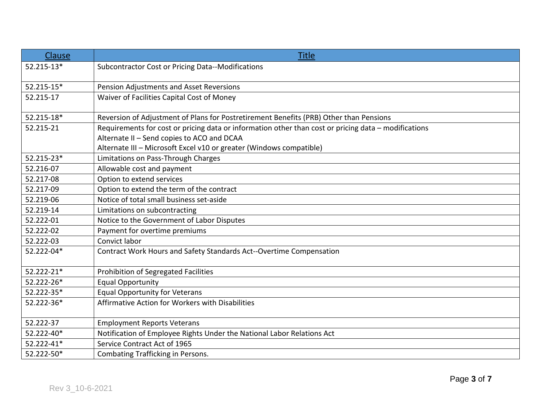| Clause     | <b>Title</b>                                                                                         |
|------------|------------------------------------------------------------------------------------------------------|
| 52.215-13* | Subcontractor Cost or Pricing Data--Modifications                                                    |
|            |                                                                                                      |
| 52.215-15* | Pension Adjustments and Asset Reversions                                                             |
| 52.215-17  | Waiver of Facilities Capital Cost of Money                                                           |
|            |                                                                                                      |
| 52.215-18* | Reversion of Adjustment of Plans for Postretirement Benefits (PRB) Other than Pensions               |
| 52.215-21  | Requirements for cost or pricing data or information other than cost or pricing data - modifications |
|            | Alternate II - Send copies to ACO and DCAA                                                           |
|            | Alternate III - Microsoft Excel v10 or greater (Windows compatible)                                  |
| 52.215-23* | Limitations on Pass-Through Charges                                                                  |
| 52.216-07  | Allowable cost and payment                                                                           |
| 52.217-08  | Option to extend services                                                                            |
| 52.217-09  | Option to extend the term of the contract                                                            |
| 52.219-06  | Notice of total small business set-aside                                                             |
| 52.219-14  | Limitations on subcontracting                                                                        |
| 52.222-01  | Notice to the Government of Labor Disputes                                                           |
| 52.222-02  | Payment for overtime premiums                                                                        |
| 52.222-03  | Convict labor                                                                                        |
| 52.222-04* | Contract Work Hours and Safety Standards Act--Overtime Compensation                                  |
|            |                                                                                                      |
| 52.222-21* | Prohibition of Segregated Facilities                                                                 |
| 52.222-26* | <b>Equal Opportunity</b>                                                                             |
| 52.222-35* | <b>Equal Opportunity for Veterans</b>                                                                |
| 52.222-36* | Affirmative Action for Workers with Disabilities                                                     |
|            |                                                                                                      |
| 52.222-37  | <b>Employment Reports Veterans</b>                                                                   |
| 52.222-40* | Notification of Employee Rights Under the National Labor Relations Act                               |
| 52.222-41* | Service Contract Act of 1965                                                                         |
| 52.222-50* | <b>Combating Trafficking in Persons.</b>                                                             |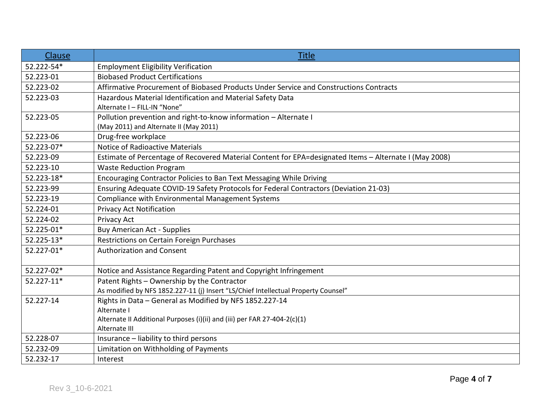| Clause     | <b>Title</b>                                                                                           |
|------------|--------------------------------------------------------------------------------------------------------|
| 52.222-54* | <b>Employment Eligibility Verification</b>                                                             |
| 52.223-01  | <b>Biobased Product Certifications</b>                                                                 |
| 52.223-02  | Affirmative Procurement of Biobased Products Under Service and Constructions Contracts                 |
| 52.223-03  | Hazardous Material Identification and Material Safety Data                                             |
|            | Alternate I - FILL-IN "None"                                                                           |
| 52.223-05  | Pollution prevention and right-to-know information - Alternate I                                       |
|            | (May 2011) and Alternate II (May 2011)                                                                 |
| 52.223-06  | Drug-free workplace                                                                                    |
| 52.223-07* | Notice of Radioactive Materials                                                                        |
| 52.223-09  | Estimate of Percentage of Recovered Material Content for EPA=designated Items - Alternate I (May 2008) |
| 52.223-10  | <b>Waste Reduction Program</b>                                                                         |
| 52.223-18* | Encouraging Contractor Policies to Ban Text Messaging While Driving                                    |
| 52.223-99  | Ensuring Adequate COVID-19 Safety Protocols for Federal Contractors (Deviation 21-03)                  |
| 52.223-19  | <b>Compliance with Environmental Management Systems</b>                                                |
| 52.224-01  | <b>Privacy Act Notification</b>                                                                        |
| 52.224-02  | Privacy Act                                                                                            |
| 52.225-01* | <b>Buy American Act - Supplies</b>                                                                     |
| 52.225-13* | Restrictions on Certain Foreign Purchases                                                              |
| 52.227-01* | <b>Authorization and Consent</b>                                                                       |
| 52.227-02* | Notice and Assistance Regarding Patent and Copyright Infringement                                      |
| 52.227-11* | Patent Rights - Ownership by the Contractor                                                            |
|            | As modified by NFS 1852.227-11 (j) Insert "LS/Chief Intellectual Property Counsel"                     |
| 52.227-14  | Rights in Data - General as Modified by NFS 1852.227-14                                                |
|            | Alternate I                                                                                            |
|            | Alternate II Additional Purposes (i)(ii) and (iii) per FAR 27-404-2(c)(1)                              |
|            | Alternate III                                                                                          |
| 52.228-07  | Insurance - liability to third persons                                                                 |
| 52.232-09  | Limitation on Withholding of Payments                                                                  |
| 52.232-17  | Interest                                                                                               |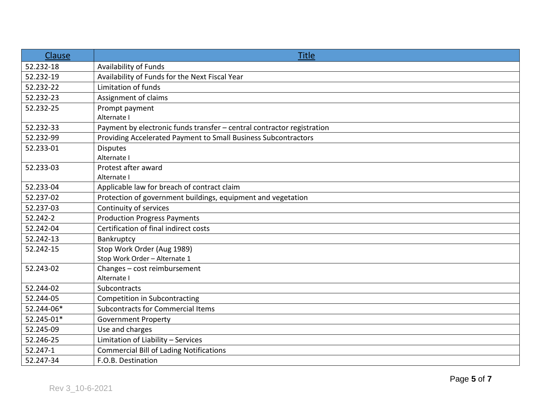| Clause     | <b>Title</b>                                                           |
|------------|------------------------------------------------------------------------|
| 52.232-18  | <b>Availability of Funds</b>                                           |
| 52.232-19  | Availability of Funds for the Next Fiscal Year                         |
| 52.232-22  | Limitation of funds                                                    |
| 52.232-23  | Assignment of claims                                                   |
| 52.232-25  | Prompt payment                                                         |
|            | Alternate I                                                            |
| 52.232-33  | Payment by electronic funds transfer - central contractor registration |
| 52.232-99  | Providing Accelerated Payment to Small Business Subcontractors         |
| 52.233-01  | <b>Disputes</b>                                                        |
|            | Alternate I                                                            |
| 52.233-03  | Protest after award                                                    |
|            | Alternate I                                                            |
| 52.233-04  | Applicable law for breach of contract claim                            |
| 52.237-02  | Protection of government buildings, equipment and vegetation           |
| 52.237-03  | Continuity of services                                                 |
| 52.242-2   | <b>Production Progress Payments</b>                                    |
| 52.242-04  | Certification of final indirect costs                                  |
| 52.242-13  | Bankruptcy                                                             |
| 52.242-15  | Stop Work Order (Aug 1989)                                             |
|            | Stop Work Order - Alternate 1                                          |
| 52.243-02  | Changes - cost reimbursement                                           |
|            | Alternate I                                                            |
| 52.244-02  | Subcontracts                                                           |
| 52.244-05  | <b>Competition in Subcontracting</b>                                   |
| 52.244-06* | <b>Subcontracts for Commercial Items</b>                               |
| 52.245-01* | <b>Government Property</b>                                             |
| 52.245-09  | Use and charges                                                        |
| 52.246-25  | Limitation of Liability - Services                                     |
| 52.247-1   | <b>Commercial Bill of Lading Notifications</b>                         |
| 52.247-34  | F.O.B. Destination                                                     |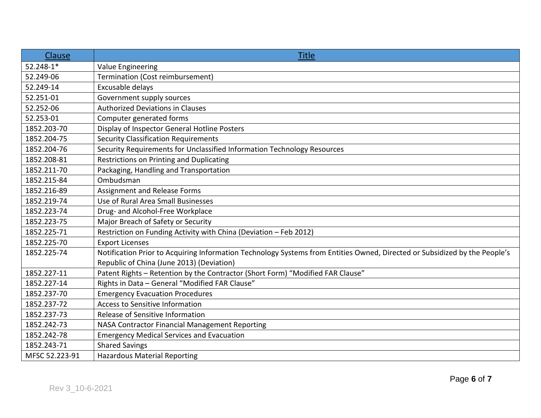| Clause         | <b>Title</b>                                                                                                               |
|----------------|----------------------------------------------------------------------------------------------------------------------------|
| 52.248-1*      | Value Engineering                                                                                                          |
| 52.249-06      | Termination (Cost reimbursement)                                                                                           |
| 52.249-14      | Excusable delays                                                                                                           |
| 52.251-01      | Government supply sources                                                                                                  |
| 52.252-06      | <b>Authorized Deviations in Clauses</b>                                                                                    |
| 52.253-01      | Computer generated forms                                                                                                   |
| 1852.203-70    | Display of Inspector General Hotline Posters                                                                               |
| 1852.204-75    | <b>Security Classification Requirements</b>                                                                                |
| 1852.204-76    | Security Requirements for Unclassified Information Technology Resources                                                    |
| 1852.208-81    | Restrictions on Printing and Duplicating                                                                                   |
| 1852.211-70    | Packaging, Handling and Transportation                                                                                     |
| 1852.215-84    | Ombudsman                                                                                                                  |
| 1852.216-89    | Assignment and Release Forms                                                                                               |
| 1852.219-74    | Use of Rural Area Small Businesses                                                                                         |
| 1852.223-74    | Drug- and Alcohol-Free Workplace                                                                                           |
| 1852.223-75    | Major Breach of Safety or Security                                                                                         |
| 1852.225-71    | Restriction on Funding Activity with China (Deviation - Feb 2012)                                                          |
| 1852.225-70    | <b>Export Licenses</b>                                                                                                     |
| 1852.225-74    | Notification Prior to Acquiring Information Technology Systems from Entities Owned, Directed or Subsidized by the People's |
|                | Republic of China (June 2013) (Deviation)                                                                                  |
| 1852.227-11    | Patent Rights - Retention by the Contractor (Short Form) "Modified FAR Clause"                                             |
| 1852.227-14    | Rights in Data - General "Modified FAR Clause"                                                                             |
| 1852.237-70    | <b>Emergency Evacuation Procedures</b>                                                                                     |
| 1852.237-72    | <b>Access to Sensitive Information</b>                                                                                     |
| 1852.237-73    | Release of Sensitive Information                                                                                           |
| 1852.242-73    | NASA Contractor Financial Management Reporting                                                                             |
| 1852.242-78    | <b>Emergency Medical Services and Evacuation</b>                                                                           |
| 1852.243-71    | <b>Shared Savings</b>                                                                                                      |
| MFSC 52.223-91 | <b>Hazardous Material Reporting</b>                                                                                        |